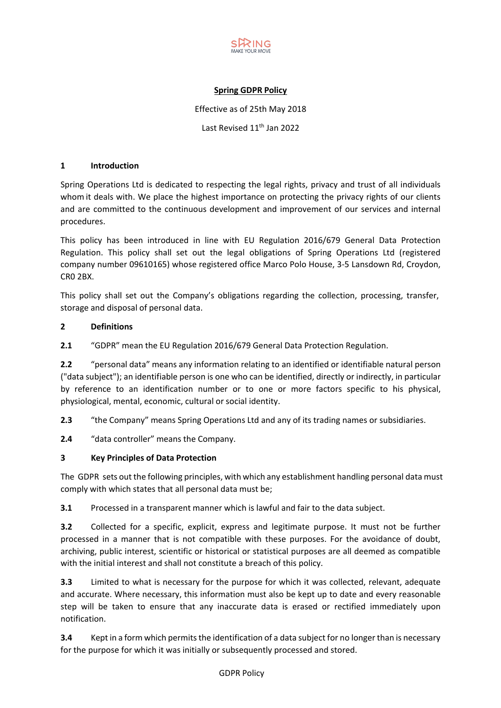

# **Spring GDPR Policy**

Effective as of 25th May 2018

Last Revised 11<sup>th</sup> Jan 2022

### **1 Introduction**

Spring Operations Ltd is dedicated to respecting the legal rights, privacy and trust of all individuals whom it deals with. We place the highest importance on protecting the privacy rights of our clients and are committed to the continuous development and improvement of our services and internal procedures.

This policy has been introduced in line with EU Regulation 2016/679 General Data Protection Regulation. This policy shall set out the legal obligations of Spring Operations Ltd (registered company number 09610165) whose registered office Marco Polo House, 3-5 Lansdown Rd, Croydon, CR0 2BX.

This policy shall set out the Company's obligations regarding the collection, processing, transfer, storage and disposal of personal data.

## **2 Definitions**

**2.1** "GDPR" mean the EU Regulation 2016/679 General Data Protection Regulation.

**2.2** "personal data" means any information relating to an identified or identifiable natural person ("data subject"); an identifiable person is one who can be identified, directly or indirectly, in particular by reference to an identification number or to one or more factors specific to his physical, physiological, mental, economic, cultural or social identity.

**2.3** "the Company" means Spring Operations Ltd and any of its trading names or subsidiaries.

**2.4** "data controller" means the Company.

# **3 Key Principles of Data Protection**

The GDPR sets out the following principles, with which any establishment handling personal data must comply with which states that all personal data must be;

**3.1** Processed in a transparent manner which is lawful and fair to the data subject.

**3.2** Collected for a specific, explicit, express and legitimate purpose. It must not be further processed in a manner that is not compatible with these purposes. For the avoidance of doubt, archiving, public interest, scientific or historical or statistical purposes are all deemed as compatible with the initial interest and shall not constitute a breach of this policy.

**3.3** Limited to what is necessary for the purpose for which it was collected, relevant, adequate and accurate. Where necessary, this information must also be kept up to date and every reasonable step will be taken to ensure that any inaccurate data is erased or rectified immediately upon notification.

**3.4** Kept in a form which permits the identification of a data subject for no longer than is necessary for the purpose for which it was initially or subsequently processed and stored.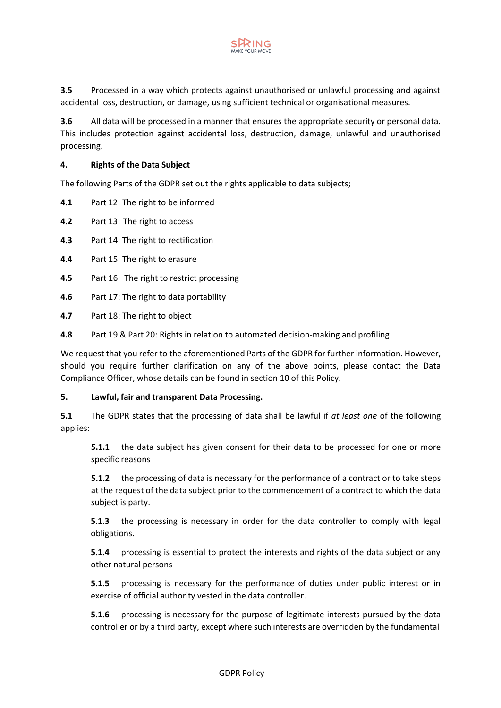

**3.5** Processed in a way which protects against unauthorised or unlawful processing and against accidental loss, destruction, or damage, using sufficient technical or organisational measures.

**3.6** All data will be processed in a manner that ensures the appropriate security or personal data. This includes protection against accidental loss, destruction, damage, unlawful and unauthorised processing.

## **4. Rights of the Data Subject**

The following Parts of the GDPR set out the rights applicable to data subjects;

- **4.1** Part 12: The right to be informed
- **4.2** Part 13: The right to access
- **4.3** Part 14: The right to rectification
- **4.4** Part 15: The right to erasure
- **4.5** Part 16: The right to restrict processing
- **4.6** Part 17: The right to data portability
- **4.7** Part 18: The right to object
- **4.8** Part 19 & Part 20: Rights in relation to automated decision-making and profiling

We request that you refer to the aforementioned Parts of the GDPR for further information. However, should you require further clarification on any of the above points, please contact the Data Compliance Officer, whose details can be found in section 10 of this Policy.

### **5. Lawful, fair and transparent Data Processing.**

**5.1** The GDPR states that the processing of data shall be lawful if *at least one* of the following applies:

**5.1.1** the data subject has given consent for their data to be processed for one or more specific reasons

**5.1.2** the processing of data is necessary for the performance of a contract or to take steps at the request of the data subject prior to the commencement of a contract to which the data subject is party.

**5.1.3** the processing is necessary in order for the data controller to comply with legal obligations.

**5.1.4** processing is essential to protect the interests and rights of the data subject or any other natural persons

**5.1.5** processing is necessary for the performance of duties under public interest or in exercise of official authority vested in the data controller.

**5.1.6** processing is necessary for the purpose of legitimate interests pursued by the data controller or by a third party, except where such interests are overridden by the fundamental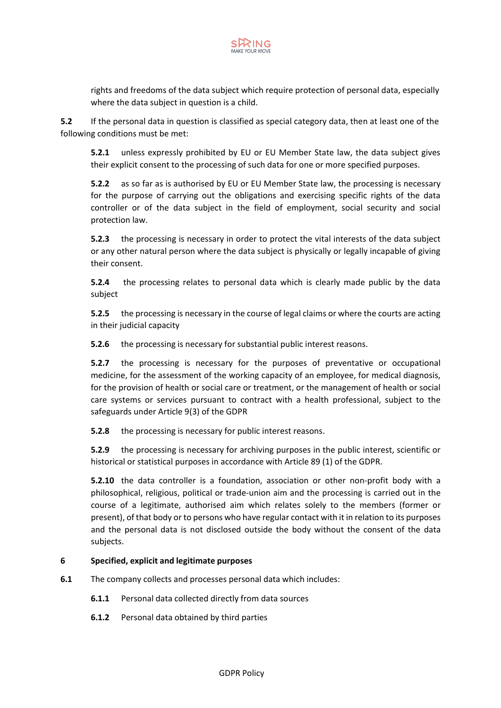

rights and freedoms of the data subject which require protection of personal data, especially where the data subject in question is a child.

**5.2** If the personal data in question is classified as special category data, then at least one of the following conditions must be met:

**5.2.1** unless expressly prohibited by EU or EU Member State law, the data subject gives their explicit consent to the processing of such data for one or more specified purposes.

**5.2.2** as so far as is authorised by EU or EU Member State law, the processing is necessary for the purpose of carrying out the obligations and exercising specific rights of the data controller or of the data subject in the field of employment, social security and social protection law.

**5.2.3** the processing is necessary in order to protect the vital interests of the data subject or any other natural person where the data subject is physically or legally incapable of giving their consent.

**5.2.4** the processing relates to personal data which is clearly made public by the data subject

**5.2.5** the processing is necessary in the course of legal claims or where the courts are acting in their judicial capacity

**5.2.6** the processing is necessary for substantial public interest reasons.

**5.2.7** the processing is necessary for the purposes of preventative or occupational medicine, for the assessment of the working capacity of an employee, for medical diagnosis, for the provision of health or social care or treatment, or the management of health or social care systems or services pursuant to contract with a health professional, subject to the safeguards under Article 9(3) of the GDPR

**5.2.8** the processing is necessary for public interest reasons.

**5.2.9** the processing is necessary for archiving purposes in the public interest, scientific or historical or statistical purposes in accordance with Article 89 (1) of the GDPR.

**5.2.10** the data controller is a foundation, association or other non-profit body with a philosophical, religious, political or trade-union aim and the processing is carried out in the course of a legitimate, authorised aim which relates solely to the members (former or present), of that body or to persons who have regular contact with it in relation to its purposes and the personal data is not disclosed outside the body without the consent of the data subjects.

### **6 Specified, explicit and legitimate purposes**

- **6.1** The company collects and processes personal data which includes:
	- **6.1.1** Personal data collected directly from data sources
	- **6.1.2** Personal data obtained by third parties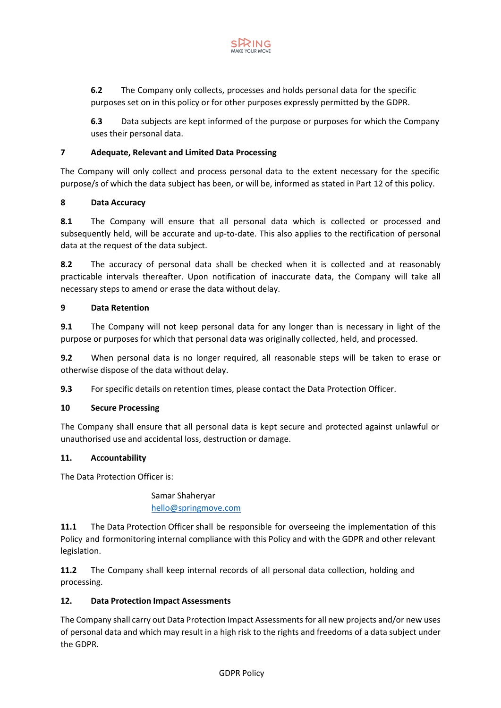

**6.2** The Company only collects, processes and holds personal data for the specific purposes set on in this policy or for other purposes expressly permitted by the GDPR.

**6.3** Data subjects are kept informed of the purpose or purposes for which the Company uses their personal data.

## **7 Adequate, Relevant and Limited Data Processing**

The Company will only collect and process personal data to the extent necessary for the specific purpose/s of which the data subject has been, or will be, informed as stated in Part 12 of this policy.

## **8 Data Accuracy**

**8.1** The Company will ensure that all personal data which is collected or processed and subsequently held, will be accurate and up-to-date. This also applies to the rectification of personal data at the request of the data subject.

**8.2** The accuracy of personal data shall be checked when it is collected and at reasonably practicable intervals thereafter. Upon notification of inaccurate data, the Company will take all necessary steps to amend or erase the data without delay.

## **9 Data Retention**

**9.1** The Company will not keep personal data for any longer than is necessary in light of the purpose or purposes for which that personal data was originally collected, held, and processed.

**9.2** When personal data is no longer required, all reasonable steps will be taken to erase or otherwise dispose of the data without delay.

**9.3** For specific details on retention times, please contact the Data Protection Officer.

### **10 Secure Processing**

The Company shall ensure that all personal data is kept secure and protected against unlawful or unauthorised use and accidental loss, destruction or damage.

### **11. Accountability**

The Data Protection Officer is:

Samar Shaheryar [hello@springmove.com](mailto:info@nationalpropertytrade.com)

**11.1** The Data Protection Officer shall be responsible for overseeing the implementation of this Policy and formonitoring internal compliance with this Policy and with the GDPR and other relevant legislation.

**11.2** The Company shall keep internal records of all personal data collection, holding and processing.

### **12. Data Protection Impact Assessments**

The Company shall carry out Data Protection Impact Assessments for all new projects and/or new uses of personal data and which may result in a high risk to the rights and freedoms of a data subject under the GDPR.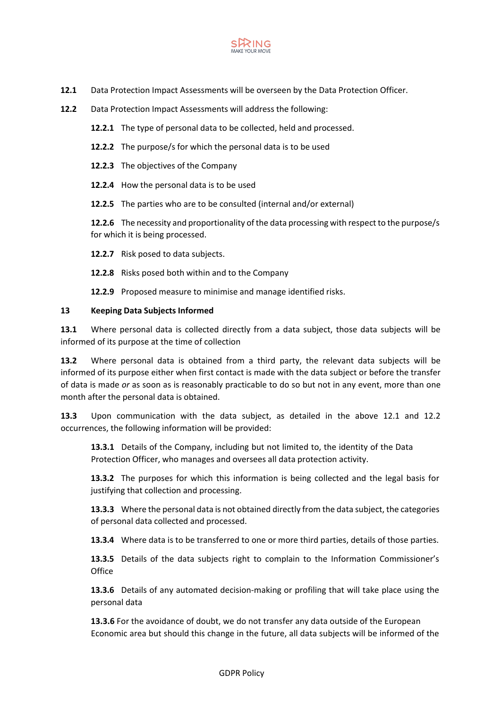

- **12.1** Data Protection Impact Assessments will be overseen by the Data Protection Officer.
- **12.2** Data Protection Impact Assessments will address the following:
	- **12.2.1** The type of personal data to be collected, held and processed.
	- **12.2.2** The purpose/s for which the personal data is to be used
	- **12.2.3** The objectives of the Company
	- **12.2.4** How the personal data is to be used
	- **12.2.5** The parties who are to be consulted (internal and/or external)

**12.2.6** The necessity and proportionality of the data processing with respect to the purpose/s for which it is being processed.

- **12.2.7** Risk posed to data subjects.
- **12.2.8** Risks posed both within and to the Company
- **12.2.9** Proposed measure to minimise and manage identified risks.

### **13 Keeping Data Subjects Informed**

**13.1** Where personal data is collected directly from a data subject, those data subjects will be informed of its purpose at the time of collection

**13.2** Where personal data is obtained from a third party, the relevant data subjects will be informed of its purpose either when first contact is made with the data subject or before the transfer of data is made *or* as soon as is reasonably practicable to do so but not in any event, more than one month after the personal data is obtained.

**13.3** Upon communication with the data subject, as detailed in the above 12.1 and 12.2 occurrences, the following information will be provided:

**13.3.1** Details of the Company, including but not limited to, the identity of the Data Protection Officer, who manages and oversees all data protection activity.

**13.3.2** The purposes for which this information is being collected and the legal basis for justifying that collection and processing.

**13.3.3** Where the personal data is not obtained directly from the data subject, the categories of personal data collected and processed.

**13.3.4** Where data is to be transferred to one or more third parties, details of those parties.

**13.3.5** Details of the data subjects right to complain to the Information Commissioner's **Office** 

**13.3.6** Details of any automated decision-making or profiling that will take place using the personal data

**13.3.6** For the avoidance of doubt, we do not transfer any data outside of the European Economic area but should this change in the future, all data subjects will be informed of the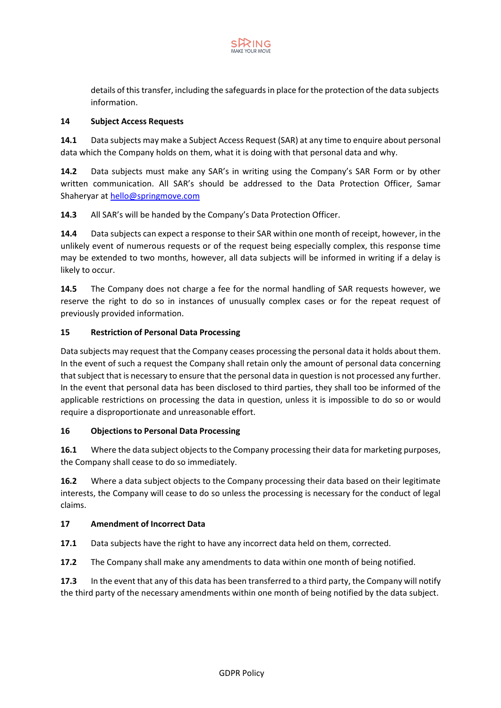

details of this transfer, including the safeguards in place for the protection of the data subjects information.

## **14 Subject Access Requests**

**14.1** Data subjects may make a Subject Access Request (SAR) at any time to enquire about personal data which the Company holds on them, what it is doing with that personal data and why.

**14.2** Data subjects must make any SAR's in writing using the Company's SAR Form or by other written communication. All SAR's should be addressed to the Data Protection Officer, Samar Shaheryar at [hello@springmove.com](mailto:hello@springmove.com)

**14.3** All SAR's will be handed by the Company's Data Protection Officer.

**14.4** Data subjects can expect a response to their SAR within one month of receipt, however, in the unlikely event of numerous requests or of the request being especially complex, this response time may be extended to two months, however, all data subjects will be informed in writing if a delay is likely to occur.

**14.5** The Company does not charge a fee for the normal handling of SAR requests however, we reserve the right to do so in instances of unusually complex cases or for the repeat request of previously provided information.

## **15 Restriction of Personal Data Processing**

Data subjects may request that the Company ceases processing the personal data it holds about them. In the event of such a request the Company shall retain only the amount of personal data concerning that subject that is necessary to ensure that the personal data in question is not processed any further. In the event that personal data has been disclosed to third parties, they shall too be informed of the applicable restrictions on processing the data in question, unless it is impossible to do so or would require a disproportionate and unreasonable effort.

### **16 Objections to Personal Data Processing**

**16.1** Where the data subject objects to the Company processing their data for marketing purposes, the Company shall cease to do so immediately.

**16.2** Where a data subject objects to the Company processing their data based on their legitimate interests, the Company will cease to do so unless the processing is necessary for the conduct of legal claims.

### **17 Amendment of Incorrect Data**

**17.1** Data subjects have the right to have any incorrect data held on them, corrected.

**17.2** The Company shall make any amendments to data within one month of being notified.

**17.3** In the event that any of this data has been transferred to a third party, the Company will notify the third party of the necessary amendments within one month of being notified by the data subject.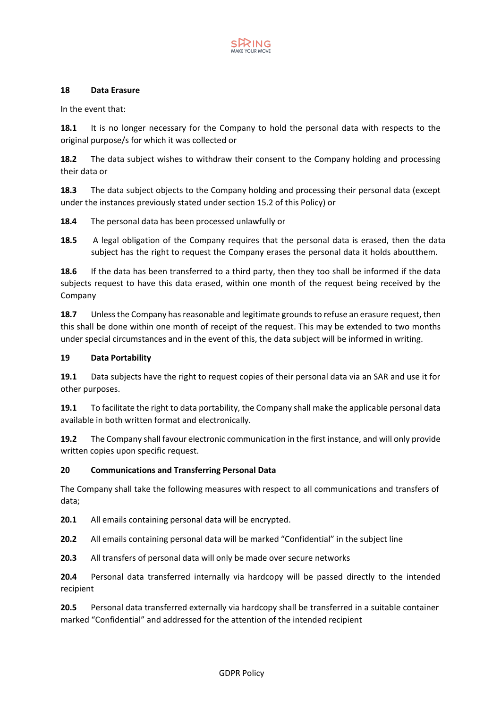

## **18 Data Erasure**

In the event that:

**18.1** It is no longer necessary for the Company to hold the personal data with respects to the original purpose/s for which it was collected or

**18.2** The data subject wishes to withdraw their consent to the Company holding and processing their data or

**18.3** The data subject objects to the Company holding and processing their personal data (except under the instances previously stated under section 15.2 of this Policy) or

**18.4** The personal data has been processed unlawfully or

**18.5** A legal obligation of the Company requires that the personal data is erased, then the data subject has the right to request the Company erases the personal data it holds aboutthem.

**18.6** If the data has been transferred to a third party, then they too shall be informed if the data subjects request to have this data erased, within one month of the request being received by the Company

**18.7** Unless the Company has reasonable and legitimate grounds to refuse an erasure request, then this shall be done within one month of receipt of the request. This may be extended to two months under special circumstances and in the event of this, the data subject will be informed in writing.

### **19 Data Portability**

**19.1** Data subjects have the right to request copies of their personal data via an SAR and use it for other purposes.

**19.1** To facilitate the right to data portability, the Company shall make the applicable personal data available in both written format and electronically.

**19.2** The Company shall favour electronic communication in the first instance, and will only provide written copies upon specific request.

# **20 Communications and Transferring Personal Data**

The Company shall take the following measures with respect to all communications and transfers of data;

**20.1** All emails containing personal data will be encrypted.

**20.2** All emails containing personal data will be marked "Confidential" in the subject line

**20.3** All transfers of personal data will only be made over secure networks

**20.4** Personal data transferred internally via hardcopy will be passed directly to the intended recipient

**20.5** Personal data transferred externally via hardcopy shall be transferred in a suitable container marked "Confidential" and addressed for the attention of the intended recipient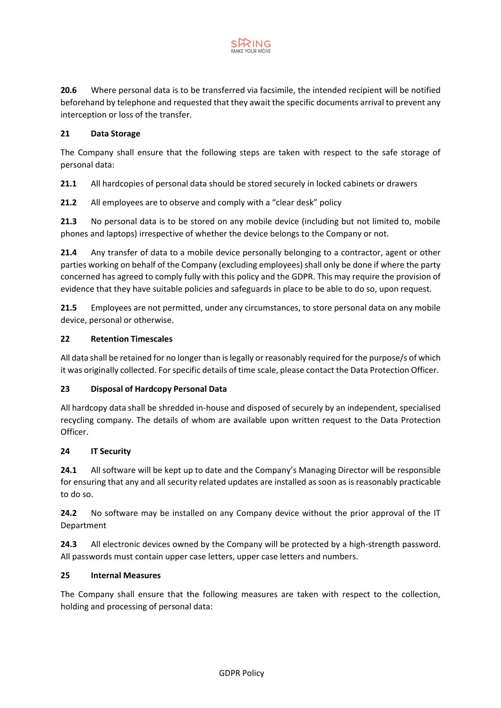

**20.6** Where personal data is to be transferred via facsimile, the intended recipient will be notified beforehand by telephone and requested that they await the specific documents arrival to prevent any interception or loss of the transfer.

# **21 Data Storage**

The Company shall ensure that the following steps are taken with respect to the safe storage of personal data:

**21.1** All hardcopies of personal data should be stored securely in locked cabinets or drawers

**21.2** All employees are to observe and comply with a "clear desk" policy

**21.3** No personal data is to be stored on any mobile device (including but not limited to, mobile phones and laptops) irrespective of whether the device belongs to the Company or not.

**21.4** Any transfer of data to a mobile device personally belonging to a contractor, agent or other parties working on behalf of the Company (excluding employees) shall only be done if where the party concerned has agreed to comply fully with this policy and the GDPR. This may require the provision of evidence that they have suitable policies and safeguards in place to be able to do so, upon request.

**21.5** Employees are not permitted, under any circumstances, to store personal data on any mobile device, personal or otherwise.

### **22 Retention Timescales**

All data shall be retained for no longer than islegally or reasonably required for the purpose/s of which it was originally collected. For specific details of time scale, please contact the Data Protection Officer.

### **23 Disposal of Hardcopy Personal Data**

All hardcopy data shall be shredded in-house and disposed of securely by an independent, specialised recycling company. The details of whom are available upon written request to the Data Protection Officer.

### **24 IT Security**

**24.1** All software will be kept up to date and the Company's Managing Director will be responsible for ensuring that any and all security related updates are installed as soon as is reasonably practicable to do so.

**24.2** No software may be installed on any Company device without the prior approval of the IT Department

**24.3** All electronic devices owned by the Company will be protected by a high-strength password. All passwords must contain upper case letters, upper case letters and numbers.

### **25 Internal Measures**

The Company shall ensure that the following measures are taken with respect to the collection, holding and processing of personal data: